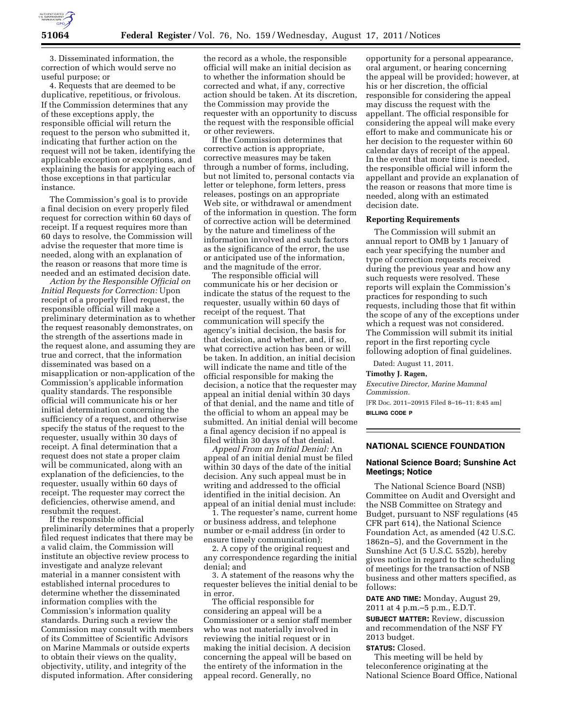

3. Disseminated information, the correction of which would serve no useful purpose; or

4. Requests that are deemed to be duplicative, repetitious, or frivolous. If the Commission determines that any of these exceptions apply, the responsible official will return the request to the person who submitted it, indicating that further action on the request will not be taken, identifying the applicable exception or exceptions, and explaining the basis for applying each of those exceptions in that particular instance.

The Commission's goal is to provide a final decision on every properly filed request for correction within 60 days of receipt. If a request requires more than 60 days to resolve, the Commission will advise the requester that more time is needed, along with an explanation of the reason or reasons that more time is needed and an estimated decision date.

*Action by the Responsible Official on Initial Requests for Correction:* Upon receipt of a properly filed request, the responsible official will make a preliminary determination as to whether the request reasonably demonstrates, on the strength of the assertions made in the request alone, and assuming they are true and correct, that the information disseminated was based on a misapplication or non-application of the Commission's applicable information quality standards. The responsible official will communicate his or her initial determination concerning the sufficiency of a request, and otherwise specify the status of the request to the requester, usually within 30 days of receipt. A final determination that a request does not state a proper claim will be communicated, along with an explanation of the deficiencies, to the requester, usually within 60 days of receipt. The requester may correct the deficiencies, otherwise amend, and resubmit the request.

If the responsible official preliminarily determines that a properly filed request indicates that there may be a valid claim, the Commission will institute an objective review process to investigate and analyze relevant material in a manner consistent with established internal procedures to determine whether the disseminated information complies with the Commission's information quality standards. During such a review the Commission may consult with members of its Committee of Scientific Advisors on Marine Mammals or outside experts to obtain their views on the quality, objectivity, utility, and integrity of the disputed information. After considering

the record as a whole, the responsible official will make an initial decision as to whether the information should be corrected and what, if any, corrective action should be taken. At its discretion, the Commission may provide the requester with an opportunity to discuss the request with the responsible official or other reviewers.

If the Commission determines that corrective action is appropriate, corrective measures may be taken through a number of forms, including, but not limited to, personal contacts via letter or telephone, form letters, press releases, postings on an appropriate Web site, or withdrawal or amendment of the information in question. The form of corrective action will be determined by the nature and timeliness of the information involved and such factors as the significance of the error, the use or anticipated use of the information, and the magnitude of the error.

The responsible official will communicate his or her decision or indicate the status of the request to the requester, usually within 60 days of receipt of the request. That communication will specify the agency's initial decision, the basis for that decision, and whether, and, if so, what corrective action has been or will be taken. In addition, an initial decision will indicate the name and title of the official responsible for making the decision, a notice that the requester may appeal an initial denial within 30 days of that denial, and the name and title of the official to whom an appeal may be submitted. An initial denial will become a final agency decision if no appeal is filed within 30 days of that denial.

*Appeal From an Initial Denial:* An appeal of an initial denial must be filed within 30 days of the date of the initial decision. Any such appeal must be in writing and addressed to the official identified in the initial decision. An appeal of an initial denial must include:

1. The requester's name, current home or business address, and telephone number or e-mail address (in order to ensure timely communication);

2. A copy of the original request and any correspondence regarding the initial denial; and

3. A statement of the reasons why the requester believes the initial denial to be in error.

The official responsible for considering an appeal will be a Commissioner or a senior staff member who was not materially involved in reviewing the initial request or in making the initial decision. A decision concerning the appeal will be based on the entirety of the information in the appeal record. Generally, no

opportunity for a personal appearance, oral argument, or hearing concerning the appeal will be provided; however, at his or her discretion, the official responsible for considering the appeal may discuss the request with the appellant. The official responsible for considering the appeal will make every effort to make and communicate his or her decision to the requester within 60 calendar days of receipt of the appeal. In the event that more time is needed, the responsible official will inform the appellant and provide an explanation of the reason or reasons that more time is needed, along with an estimated decision date.

#### **Reporting Requirements**

The Commission will submit an annual report to OMB by 1 January of each year specifying the number and type of correction requests received during the previous year and how any such requests were resolved. These reports will explain the Commission's practices for responding to such requests, including those that fit within the scope of any of the exceptions under which a request was not considered. The Commission will submit its initial report in the first reporting cycle following adoption of final guidelines.

Dated: August 11, 2011.

**Timothy J. Ragen,**  *Executive Director, Marine Mammal Commission.*  [FR Doc. 2011–20915 Filed 8–16–11; 8:45 am] **BILLING CODE P** 

## **NATIONAL SCIENCE FOUNDATION**

## **National Science Board; Sunshine Act Meetings; Notice**

The National Science Board (NSB) Committee on Audit and Oversight and the NSB Committee on Strategy and Budget, pursuant to NSF regulations (45 CFR part 614), the National Science Foundation Act, as amended (42 U.S.C. 1862n–5), and the Government in the Sunshine Act (5 U.S.C. 552b), hereby gives notice in regard to the scheduling of meetings for the transaction of NSB business and other matters specified, as follows:

**DATE AND TIME:** Monday, August 29, 2011 at 4 p.m.–5 p.m., E.D.T.

**SUBJECT MATTER:** Review, discussion and recommendation of the NSF FY 2013 budget.

### **STATUS:** Closed.

This meeting will be held by teleconference originating at the National Science Board Office, National